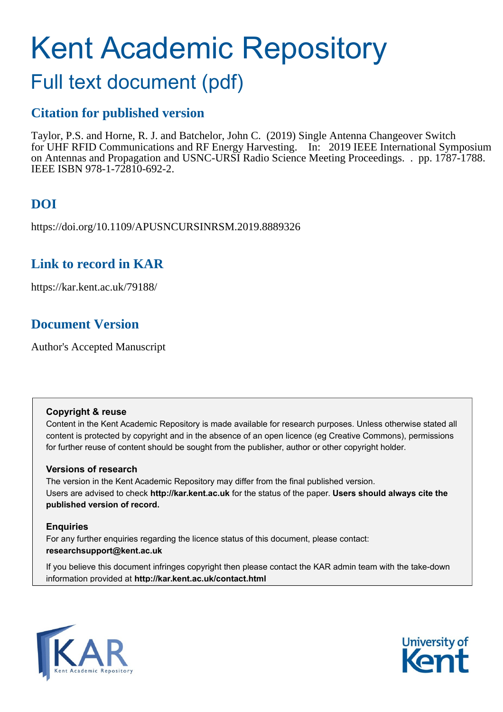# Kent Academic Repository

# Full text document (pdf)

### **Citation for published version**

Taylor, P.S. and Horne, R. J. and Batchelor, John C. (2019) Single Antenna Changeover Switch for UHF RFID Communications and RF Energy Harvesting. In: 2019 IEEE International Symposium on Antennas and Propagation and USNC-URSI Radio Science Meeting Proceedings. . pp. 1787-1788. IEEE ISBN 978-1-72810-692-2.

# **DOI**

https://doi.org/10.1109/APUSNCURSINRSM.2019.8889326

### **Link to record in KAR**

https://kar.kent.ac.uk/79188/

## **Document Version**

Author's Accepted Manuscript

#### **Copyright & reuse**

Content in the Kent Academic Repository is made available for research purposes. Unless otherwise stated all content is protected by copyright and in the absence of an open licence (eg Creative Commons), permissions for further reuse of content should be sought from the publisher, author or other copyright holder.

#### **Versions of research**

The version in the Kent Academic Repository may differ from the final published version. Users are advised to check **http://kar.kent.ac.uk** for the status of the paper. **Users should always cite the published version of record.**

#### **Enquiries**

For any further enquiries regarding the licence status of this document, please contact: **researchsupport@kent.ac.uk**

If you believe this document infringes copyright then please contact the KAR admin team with the take-down information provided at **http://kar.kent.ac.uk/contact.html**



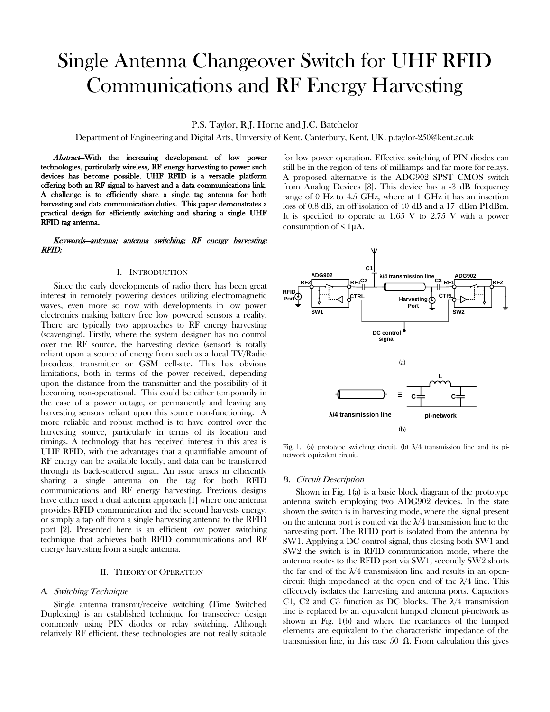# Single Antenna Changeover Switch for UHF RFID Communications and RF Energy Harvesting

P.S. Taylor, R.J. Horne and J.C. Batchelor

Department of Engineering and Digital Arts, University of Kent, Canterbury, Kent, UK. p.taylor-250@kent.ac.uk

Abstract-With the increasing development of low power technologies, particularly wireless, RF energy harvesting to power such devices has become possible. UHF RFID is a versatile platform offering both an RF signal to harvest and a data communications link. A challenge is to efficiently share a single tag antenna for both harvesting and data communication duties. This paper demonstrates a practical design for efficiently switching and sharing a single UHF RFID tag antenna.

#### Keywords—antenna; antenna switching; RF energy harvesting; RFID;

#### I. INTRODUCTION

Since the early developments of radio there has been great interest in remotely powering devices utilizing electromagnetic waves, even more so now with developments in low power electronics making battery free low powered sensors a reality. There are typically two approaches to RF energy harvesting (scavenging). Firstly, where the system designer has no control over the RF source, the harvesting device (sensor) is totally reliant upon a source of energy from such as a local TV/Radio broadcast transmitter or GSM cell-site. This has obvious limitations, both in terms of the power received, depending upon the distance from the transmitter and the possibility of it becoming non-operational. This could be either temporarily in the case of a power outage, or permanently and leaving any harvesting sensors reliant upon this source non-functioning. A more reliable and robust method is to have control over the harvesting source, particularly in terms of its location and timings. A technology that has received interest in this area is UHF RFID, with the advantages that a quantifiable amount of RF energy can be available locally, and data can be transferred through its back-scattered signal. An issue arises in efficiently sharing a single antenna on the tag for both RFID communications and RF energy harvesting. Previous designs have either used a dual antenna approach [1] where one antenna provides RFID communication and the second harvests energy, or simply a tap off from a single harvesting antenna to the RFID port [2]. Presented here is an efficient low power switching technique that achieves both RFID communications and RF energy harvesting from a single antenna.

#### II. THEORY OF OPERATION

#### *A.* Switching Technique

Single antenna transmit/receive switching (Time Switched Duplexing) is an established technique for transceiver design commonly using PIN diodes or relay switching. Although relatively RF efficient, these technologies are not really suitable for low power operation. Effective switching of PIN diodes can still be in the region of tens of milliamps and far more for relays. A proposed alternative is the ADG902 SPST CMOS switch from Analog Devices [3]. This device has a -3 dB frequency range of 0 Hz to 4.5 GHz, where at 1 GHz it has an insertion loss of 0.8 dB, an off isolation of 40 dB and a 17 dBm P1dBm. It is specified to operate at  $1.65$  V to  $2.75$  V with a power consumption of  $\leq 1\mu A$ .



Fig. 1. (a) prototype switching circuit. (b)  $\lambda/4$  transmission line and its pinetwork equivalent circuit.

#### *B.* Circuit Description

Shown in Fig. 1(a) is a basic block diagram of the prototype antenna switch employing two ADG902 devices. In the state shown the switch is in harvesting mode, where the signal present on the antenna port is routed via the  $\lambda/4$  transmission line to the harvesting port. The RFID port is isolated from the antenna by SW1. Applying a DC control signal, thus closing both SW1 and SW2 the switch is in RFID communication mode, where the antenna routes to the RFID port via SW1, secondly SW2 shorts the far end of the  $\lambda/4$  transmission line and results in an opencircuit (high impedance) at the open end of the  $\lambda/4$  line. This effectively isolates the harvesting and antenna ports. Capacitors C1, C2 and C3 function as DC blocks. The  $\lambda$ /4 transmission line is replaced by an equivalent lumped element pi-network as shown in Fig. 1(b) and where the reactances of the lumped elements are equivalent to the characteristic impedance of the transmission line, in this case 50 Ω. From calculation this gives